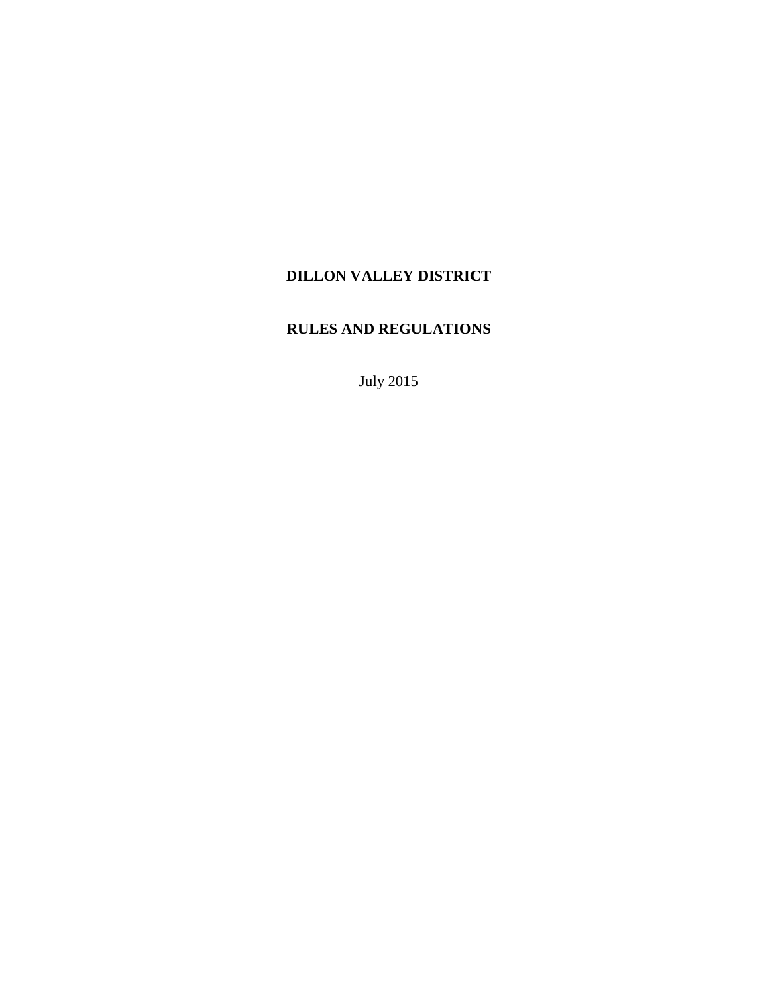# **DILLON VALLEY DISTRICT**

# **RULES AND REGULATIONS**

July 2015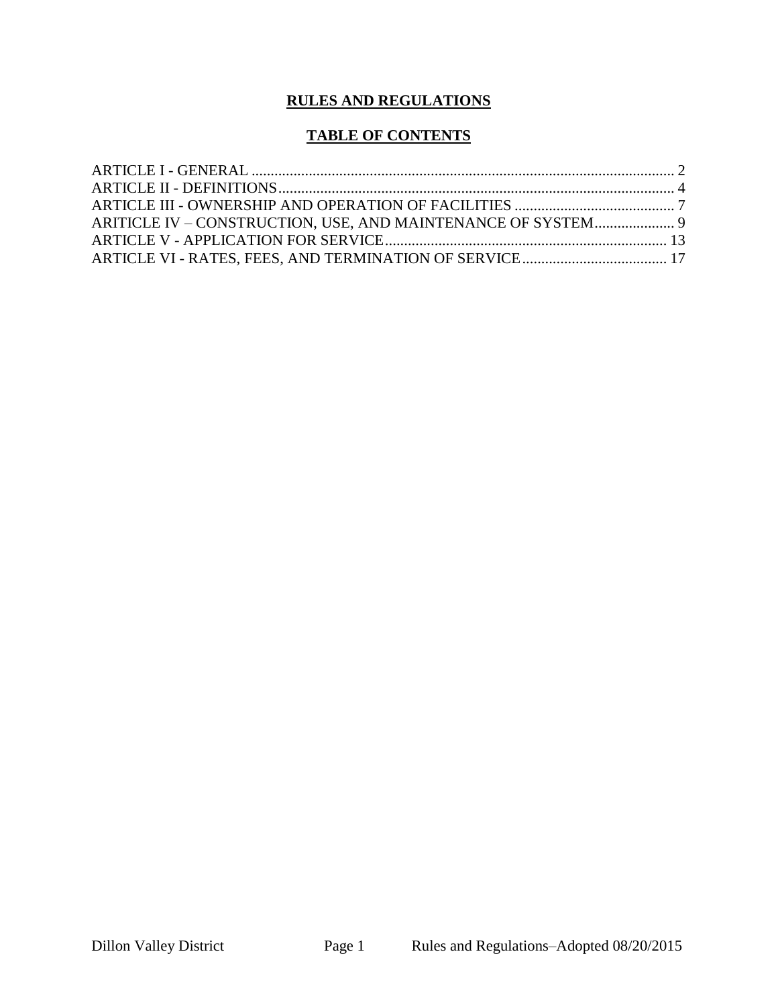# **RULES AND REGULATIONS**

## **TABLE OF CONTENTS**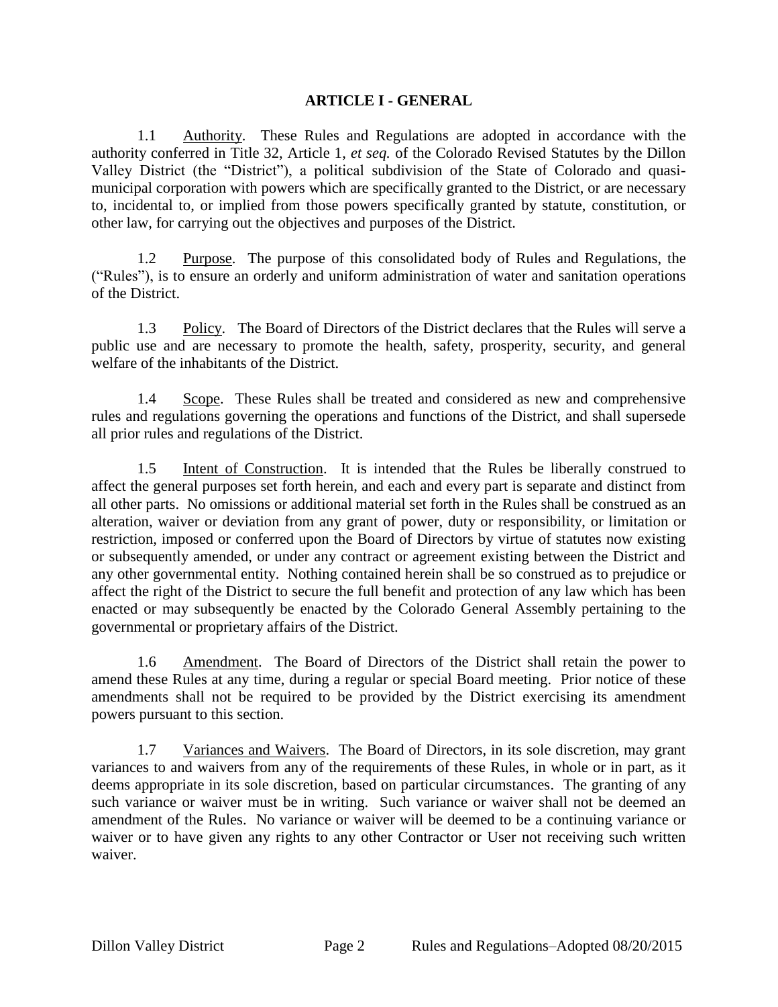#### <span id="page-2-0"></span>**ARTICLE I - GENERAL**

1.1 Authority. These Rules and Regulations are adopted in accordance with the authority conferred in Title 32, Article 1, *et seq.* of the Colorado Revised Statutes by the Dillon Valley District (the "District"), a political subdivision of the State of Colorado and quasimunicipal corporation with powers which are specifically granted to the District, or are necessary to, incidental to, or implied from those powers specifically granted by statute, constitution, or other law, for carrying out the objectives and purposes of the District.

1.2 Purpose. The purpose of this consolidated body of Rules and Regulations, the ("Rules"), is to ensure an orderly and uniform administration of water and sanitation operations of the District.

1.3 Policy. The Board of Directors of the District declares that the Rules will serve a public use and are necessary to promote the health, safety, prosperity, security, and general welfare of the inhabitants of the District.

1.4 Scope. These Rules shall be treated and considered as new and comprehensive rules and regulations governing the operations and functions of the District, and shall supersede all prior rules and regulations of the District.

1.5 Intent of Construction. It is intended that the Rules be liberally construed to affect the general purposes set forth herein, and each and every part is separate and distinct from all other parts. No omissions or additional material set forth in the Rules shall be construed as an alteration, waiver or deviation from any grant of power, duty or responsibility, or limitation or restriction, imposed or conferred upon the Board of Directors by virtue of statutes now existing or subsequently amended, or under any contract or agreement existing between the District and any other governmental entity. Nothing contained herein shall be so construed as to prejudice or affect the right of the District to secure the full benefit and protection of any law which has been enacted or may subsequently be enacted by the Colorado General Assembly pertaining to the governmental or proprietary affairs of the District.

1.6 Amendment. The Board of Directors of the District shall retain the power to amend these Rules at any time, during a regular or special Board meeting. Prior notice of these amendments shall not be required to be provided by the District exercising its amendment powers pursuant to this section.

1.7 Variances and Waivers. The Board of Directors, in its sole discretion, may grant variances to and waivers from any of the requirements of these Rules, in whole or in part, as it deems appropriate in its sole discretion, based on particular circumstances. The granting of any such variance or waiver must be in writing. Such variance or waiver shall not be deemed an amendment of the Rules. No variance or waiver will be deemed to be a continuing variance or waiver or to have given any rights to any other Contractor or User not receiving such written waiver.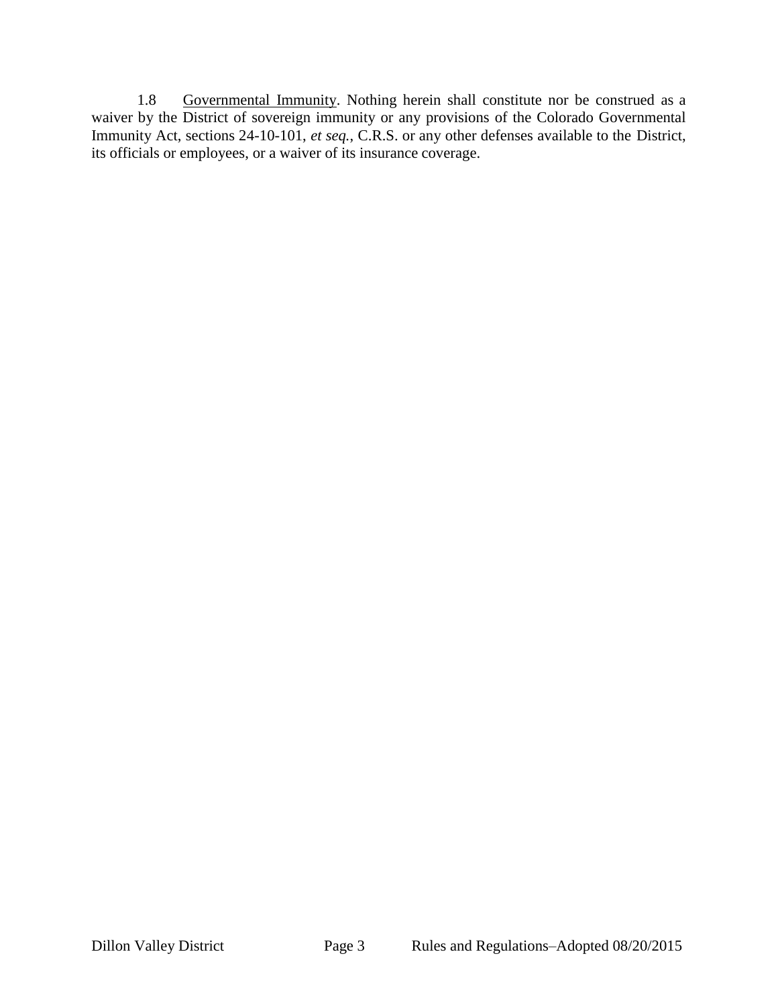1.8 Governmental Immunity. Nothing herein shall constitute nor be construed as a waiver by the District of sovereign immunity or any provisions of the Colorado Governmental Immunity Act, sections 24-10-101, *et seq.*, C.R.S. or any other defenses available to the District, its officials or employees, or a waiver of its insurance coverage.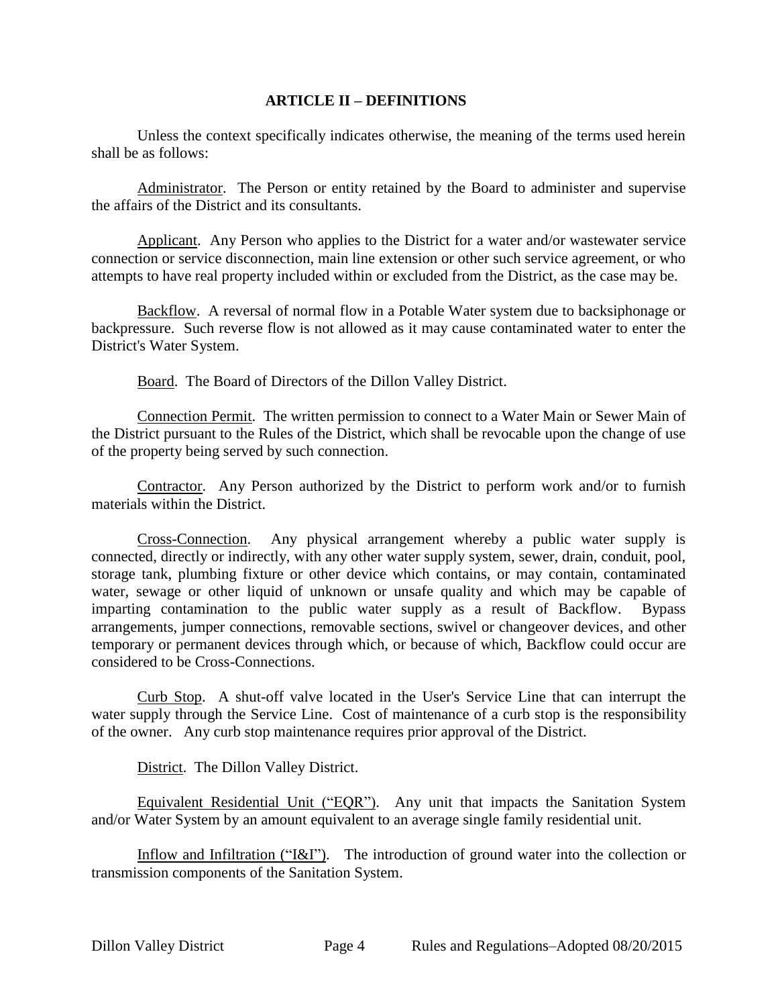#### **ARTICLE II – DEFINITIONS**

<span id="page-4-0"></span>Unless the context specifically indicates otherwise, the meaning of the terms used herein shall be as follows:

Administrator. The Person or entity retained by the Board to administer and supervise the affairs of the District and its consultants.

Applicant. Any Person who applies to the District for a water and/or wastewater service connection or service disconnection, main line extension or other such service agreement, or who attempts to have real property included within or excluded from the District, as the case may be.

Backflow. A reversal of normal flow in a Potable Water system due to backsiphonage or backpressure. Such reverse flow is not allowed as it may cause contaminated water to enter the District's Water System.

Board. The Board of Directors of the Dillon Valley District.

Connection Permit. The written permission to connect to a Water Main or Sewer Main of the District pursuant to the Rules of the District, which shall be revocable upon the change of use of the property being served by such connection.

Contractor. Any Person authorized by the District to perform work and/or to furnish materials within the District.

Cross-Connection. Any physical arrangement whereby a public water supply is connected, directly or indirectly, with any other water supply system, sewer, drain, conduit, pool, storage tank, plumbing fixture or other device which contains, or may contain, contaminated water, sewage or other liquid of unknown or unsafe quality and which may be capable of imparting contamination to the public water supply as a result of Backflow. Bypass arrangements, jumper connections, removable sections, swivel or changeover devices, and other temporary or permanent devices through which, or because of which, Backflow could occur are considered to be Cross-Connections.

Curb Stop. A shut-off valve located in the User's Service Line that can interrupt the water supply through the Service Line. Cost of maintenance of a curb stop is the responsibility of the owner. Any curb stop maintenance requires prior approval of the District.

District. The Dillon Valley District.

Equivalent Residential Unit ("EQR"). Any unit that impacts the Sanitation System and/or Water System by an amount equivalent to an average single family residential unit.

Inflow and Infiltration ("I&I"). The introduction of ground water into the collection or transmission components of the Sanitation System.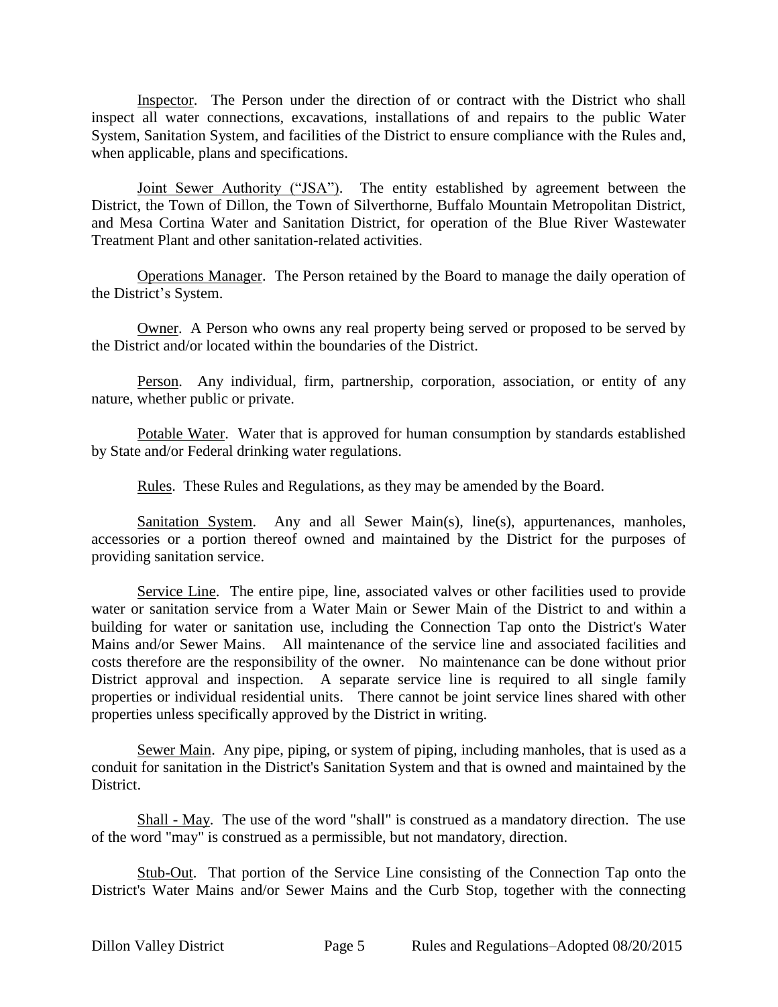Inspector. The Person under the direction of or contract with the District who shall inspect all water connections, excavations, installations of and repairs to the public Water System, Sanitation System, and facilities of the District to ensure compliance with the Rules and, when applicable, plans and specifications.

Joint Sewer Authority ("JSA"). The entity established by agreement between the District, the Town of Dillon, the Town of Silverthorne, Buffalo Mountain Metropolitan District, and Mesa Cortina Water and Sanitation District, for operation of the Blue River Wastewater Treatment Plant and other sanitation-related activities.

Operations Manager. The Person retained by the Board to manage the daily operation of the District's System.

Owner. A Person who owns any real property being served or proposed to be served by the District and/or located within the boundaries of the District.

Person. Any individual, firm, partnership, corporation, association, or entity of any nature, whether public or private.

Potable Water. Water that is approved for human consumption by standards established by State and/or Federal drinking water regulations.

Rules. These Rules and Regulations, as they may be amended by the Board.

Sanitation System. Any and all Sewer Main(s), line(s), appurtenances, manholes, accessories or a portion thereof owned and maintained by the District for the purposes of providing sanitation service.

Service Line. The entire pipe, line, associated valves or other facilities used to provide water or sanitation service from a Water Main or Sewer Main of the District to and within a building for water or sanitation use, including the Connection Tap onto the District's Water Mains and/or Sewer Mains. All maintenance of the service line and associated facilities and costs therefore are the responsibility of the owner. No maintenance can be done without prior District approval and inspection. A separate service line is required to all single family properties or individual residential units. There cannot be joint service lines shared with other properties unless specifically approved by the District in writing.

Sewer Main. Any pipe, piping, or system of piping, including manholes, that is used as a conduit for sanitation in the District's Sanitation System and that is owned and maintained by the District.

Shall - May. The use of the word "shall" is construed as a mandatory direction. The use of the word "may" is construed as a permissible, but not mandatory, direction.

Stub-Out. That portion of the Service Line consisting of the Connection Tap onto the District's Water Mains and/or Sewer Mains and the Curb Stop, together with the connecting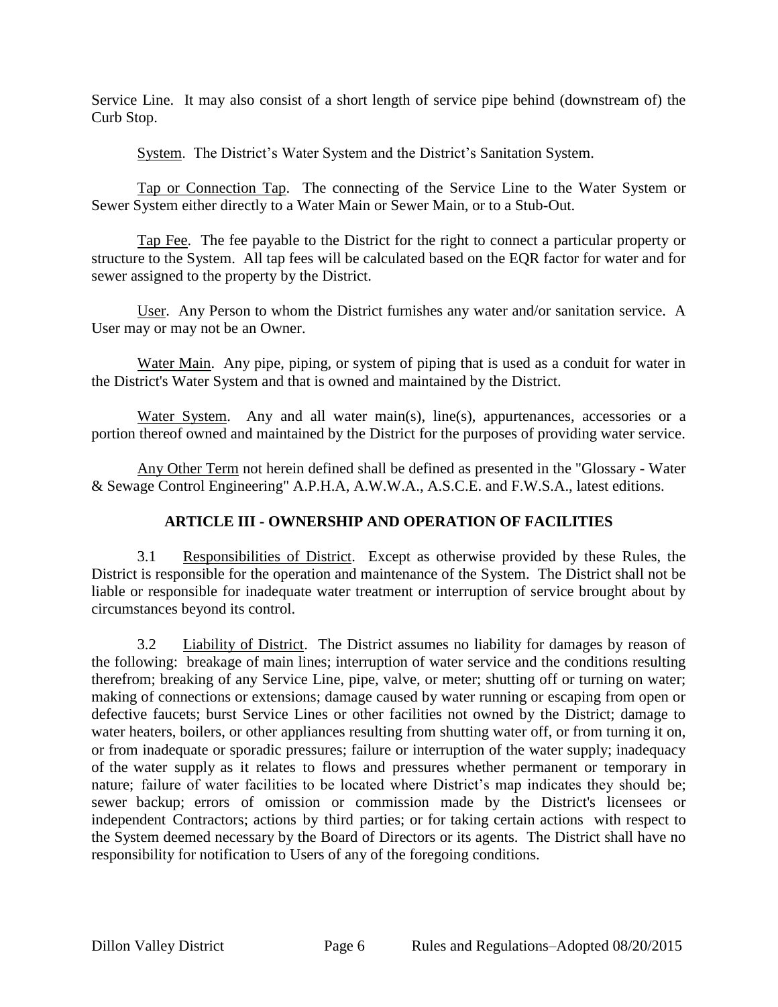Service Line. It may also consist of a short length of service pipe behind (downstream of) the Curb Stop.

System. The District's Water System and the District's Sanitation System.

Tap or Connection Tap. The connecting of the Service Line to the Water System or Sewer System either directly to a Water Main or Sewer Main, or to a Stub-Out.

Tap Fee. The fee payable to the District for the right to connect a particular property or structure to the System. All tap fees will be calculated based on the EQR factor for water and for sewer assigned to the property by the District.

User. Any Person to whom the District furnishes any water and/or sanitation service. A User may or may not be an Owner.

Water Main. Any pipe, piping, or system of piping that is used as a conduit for water in the District's Water System and that is owned and maintained by the District.

Water System. Any and all water main(s), line(s), appurtenances, accessories or a portion thereof owned and maintained by the District for the purposes of providing water service.

Any Other Term not herein defined shall be defined as presented in the "Glossary - Water & Sewage Control Engineering" A.P.H.A, A.W.W.A., A.S.C.E. and F.W.S.A., latest editions.

### <span id="page-6-0"></span>**ARTICLE III - OWNERSHIP AND OPERATION OF FACILITIES**

3.1 Responsibilities of District. Except as otherwise provided by these Rules, the District is responsible for the operation and maintenance of the System. The District shall not be liable or responsible for inadequate water treatment or interruption of service brought about by circumstances beyond its control.

3.2 Liability of District. The District assumes no liability for damages by reason of the following: breakage of main lines; interruption of water service and the conditions resulting therefrom; breaking of any Service Line, pipe, valve, or meter; shutting off or turning on water; making of connections or extensions; damage caused by water running or escaping from open or defective faucets; burst Service Lines or other facilities not owned by the District; damage to water heaters, boilers, or other appliances resulting from shutting water off, or from turning it on, or from inadequate or sporadic pressures; failure or interruption of the water supply; inadequacy of the water supply as it relates to flows and pressures whether permanent or temporary in nature; failure of water facilities to be located where District's map indicates they should be; sewer backup; errors of omission or commission made by the District's licensees or independent Contractors; actions by third parties; or for taking certain actions with respect to the System deemed necessary by the Board of Directors or its agents. The District shall have no responsibility for notification to Users of any of the foregoing conditions.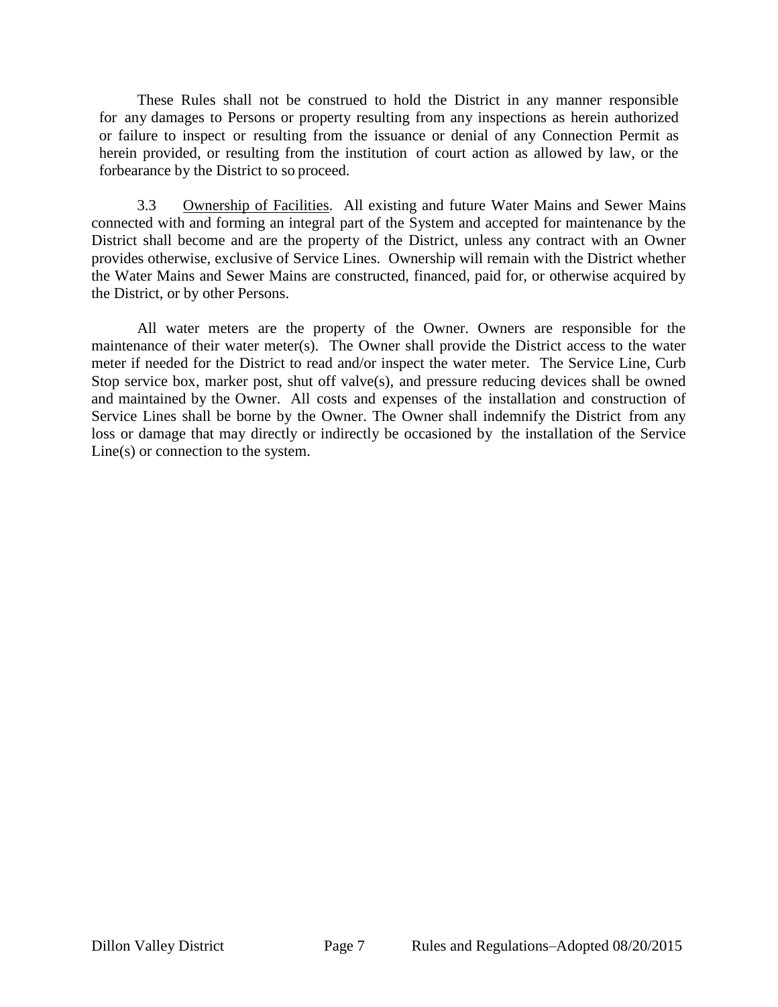These Rules shall not be construed to hold the District in any manner responsible for any damages to Persons or property resulting from any inspections as herein authorized or failure to inspect or resulting from the issuance or denial of any Connection Permit as herein provided, or resulting from the institution of court action as allowed by law, or the forbearance by the District to so proceed.

3.3 Ownership of Facilities. All existing and future Water Mains and Sewer Mains connected with and forming an integral part of the System and accepted for maintenance by the District shall become and are the property of the District, unless any contract with an Owner provides otherwise, exclusive of Service Lines. Ownership will remain with the District whether the Water Mains and Sewer Mains are constructed, financed, paid for, or otherwise acquired by the District, or by other Persons.

All water meters are the property of the Owner. Owners are responsible for the maintenance of their water meter(s). The Owner shall provide the District access to the water meter if needed for the District to read and/or inspect the water meter. The Service Line, Curb Stop service box, marker post, shut off valve(s), and pressure reducing devices shall be owned and maintained by the Owner. All costs and expenses of the installation and construction of Service Lines shall be borne by the Owner. The Owner shall indemnify the District from any loss or damage that may directly or indirectly be occasioned by the installation of the Service Line(s) or connection to the system.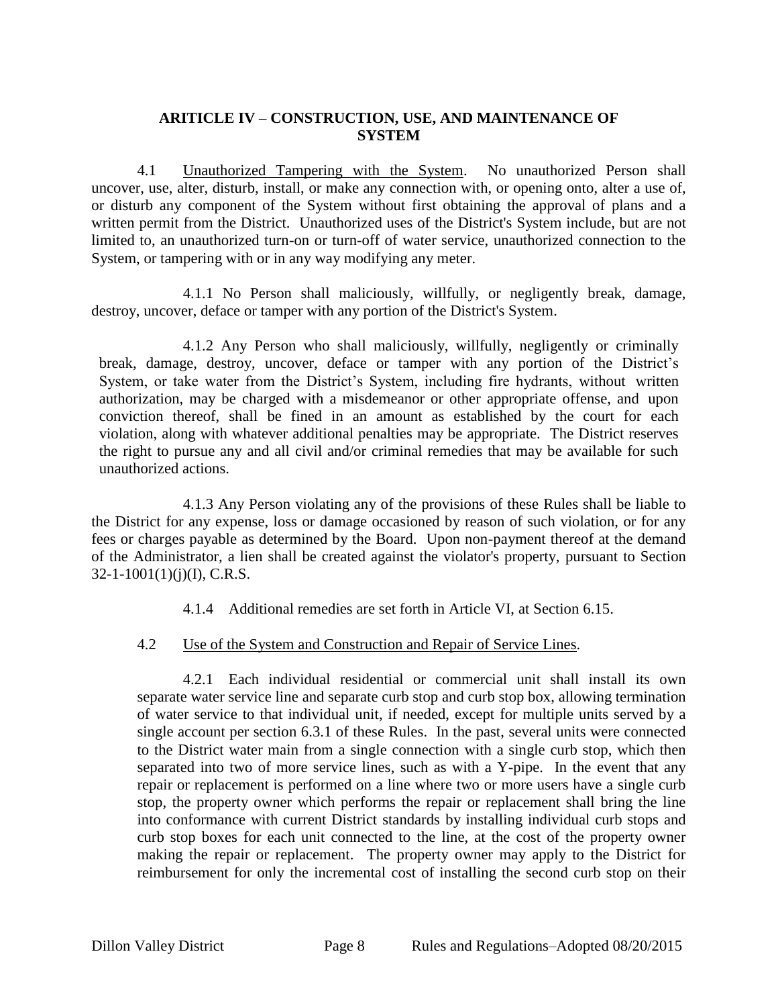#### <span id="page-8-0"></span>**ARITICLE IV – CONSTRUCTION, USE, AND MAINTENANCE OF SYSTEM**

4.1 Unauthorized Tampering with the System. No unauthorized Person shall uncover, use, alter, disturb, install, or make any connection with, or opening onto, alter a use of, or disturb any component of the System without first obtaining the approval of plans and a written permit from the District. Unauthorized uses of the District's System include, but are not limited to, an unauthorized turn-on or turn-off of water service, unauthorized connection to the System, or tampering with or in any way modifying any meter.

4.1.1 No Person shall maliciously, willfully, or negligently break, damage, destroy, uncover, deface or tamper with any portion of the District's System.

4.1.2 Any Person who shall maliciously, willfully, negligently or criminally break, damage, destroy, uncover, deface or tamper with any portion of the District's System, or take water from the District's System, including fire hydrants, without written authorization, may be charged with a misdemeanor or other appropriate offense, and upon conviction thereof, shall be fined in an amount as established by the court for each violation, along with whatever additional penalties may be appropriate. The District reserves the right to pursue any and all civil and/or criminal remedies that may be available for such unauthorized actions.

4.1.3 Any Person violating any of the provisions of these Rules shall be liable to the District for any expense, loss or damage occasioned by reason of such violation, or for any fees or charges payable as determined by the Board. Upon non-payment thereof at the demand of the Administrator, a lien shall be created against the violator's property, pursuant to Section  $32 - 1 - 1001(1)(i)(I)$ , C.R.S.

4.1.4 Additional remedies are set forth in Article VI, at Section 6.15.

4.2 Use of the System and Construction and Repair of Service Lines.

4.2.1 Each individual residential or commercial unit shall install its own separate water service line and separate curb stop and curb stop box, allowing termination of water service to that individual unit, if needed, except for multiple units served by a single account per section 6.3.1 of these Rules. In the past, several units were connected to the District water main from a single connection with a single curb stop, which then separated into two of more service lines, such as with a Y-pipe. In the event that any repair or replacement is performed on a line where two or more users have a single curb stop, the property owner which performs the repair or replacement shall bring the line into conformance with current District standards by installing individual curb stops and curb stop boxes for each unit connected to the line, at the cost of the property owner making the repair or replacement. The property owner may apply to the District for reimbursement for only the incremental cost of installing the second curb stop on their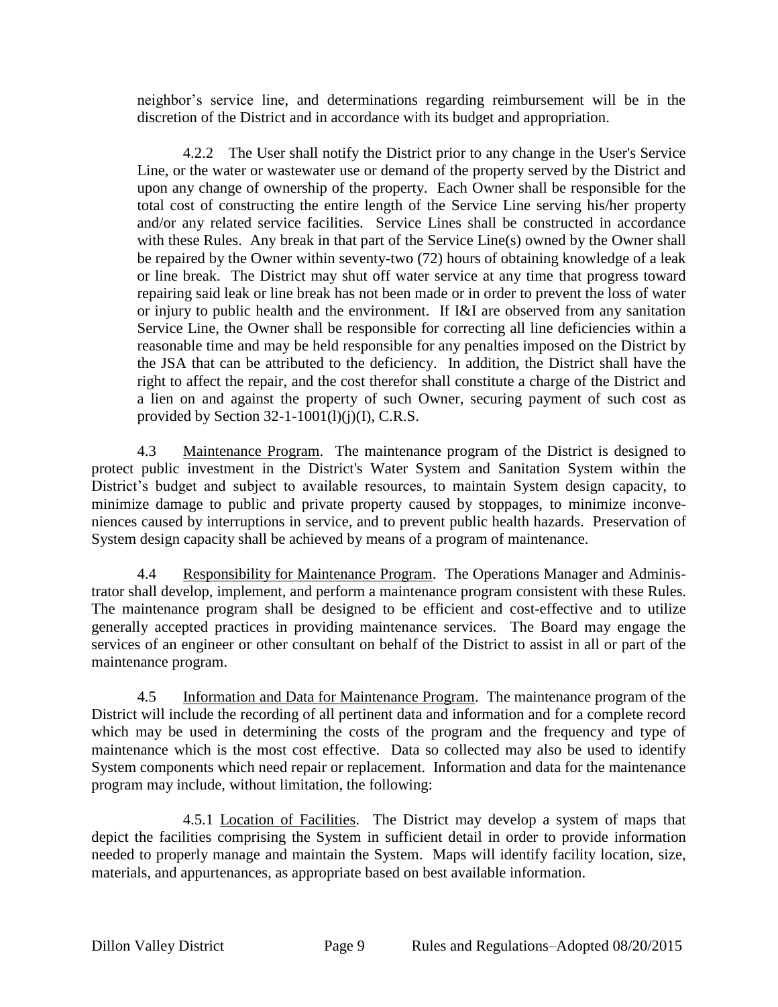neighbor's service line, and determinations regarding reimbursement will be in the discretion of the District and in accordance with its budget and appropriation.

4.2.2 The User shall notify the District prior to any change in the User's Service Line, or the water or wastewater use or demand of the property served by the District and upon any change of ownership of the property. Each Owner shall be responsible for the total cost of constructing the entire length of the Service Line serving his/her property and/or any related service facilities. Service Lines shall be constructed in accordance with these Rules. Any break in that part of the Service Line(s) owned by the Owner shall be repaired by the Owner within seventy-two (72) hours of obtaining knowledge of a leak or line break. The District may shut off water service at any time that progress toward repairing said leak or line break has not been made or in order to prevent the loss of water or injury to public health and the environment. If I&I are observed from any sanitation Service Line, the Owner shall be responsible for correcting all line deficiencies within a reasonable time and may be held responsible for any penalties imposed on the District by the JSA that can be attributed to the deficiency. In addition, the District shall have the right to affect the repair, and the cost therefor shall constitute a charge of the District and a lien on and against the property of such Owner, securing payment of such cost as provided by Section  $32-1-1001(1)(i)$ (I), C.R.S.

4.3 Maintenance Program. The maintenance program of the District is designed to protect public investment in the District's Water System and Sanitation System within the District's budget and subject to available resources, to maintain System design capacity, to minimize damage to public and private property caused by stoppages, to minimize inconveniences caused by interruptions in service, and to prevent public health hazards. Preservation of System design capacity shall be achieved by means of a program of maintenance.

4.4 Responsibility for Maintenance Program. The Operations Manager and Administrator shall develop, implement, and perform a maintenance program consistent with these Rules. The maintenance program shall be designed to be efficient and cost-effective and to utilize generally accepted practices in providing maintenance services. The Board may engage the services of an engineer or other consultant on behalf of the District to assist in all or part of the maintenance program.

4.5 Information and Data for Maintenance Program. The maintenance program of the District will include the recording of all pertinent data and information and for a complete record which may be used in determining the costs of the program and the frequency and type of maintenance which is the most cost effective. Data so collected may also be used to identify System components which need repair or replacement. Information and data for the maintenance program may include, without limitation, the following:

4.5.1 Location of Facilities. The District may develop a system of maps that depict the facilities comprising the System in sufficient detail in order to provide information needed to properly manage and maintain the System. Maps will identify facility location, size, materials, and appurtenances, as appropriate based on best available information.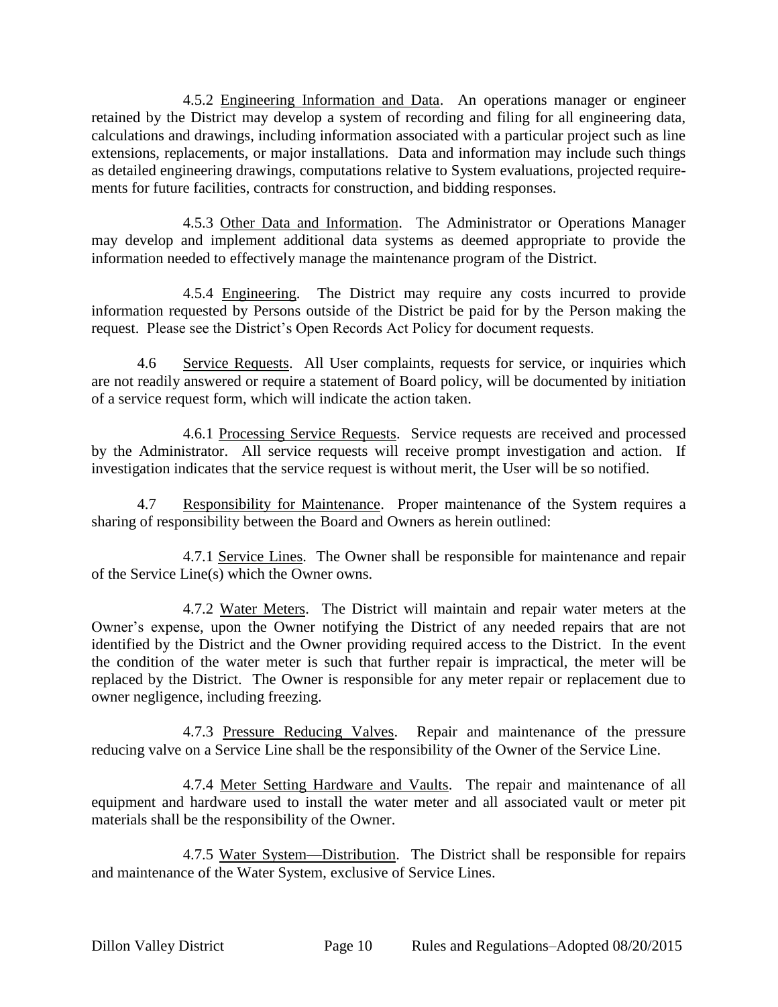4.5.2 Engineering Information and Data. An operations manager or engineer retained by the District may develop a system of recording and filing for all engineering data, calculations and drawings, including information associated with a particular project such as line extensions, replacements, or major installations. Data and information may include such things as detailed engineering drawings, computations relative to System evaluations, projected requirements for future facilities, contracts for construction, and bidding responses.

4.5.3 Other Data and Information. The Administrator or Operations Manager may develop and implement additional data systems as deemed appropriate to provide the information needed to effectively manage the maintenance program of the District.

4.5.4 Engineering. The District may require any costs incurred to provide information requested by Persons outside of the District be paid for by the Person making the request. Please see the District's Open Records Act Policy for document requests.

4.6 Service Requests. All User complaints, requests for service, or inquiries which are not readily answered or require a statement of Board policy, will be documented by initiation of a service request form, which will indicate the action taken.

4.6.1 Processing Service Requests. Service requests are received and processed by the Administrator. All service requests will receive prompt investigation and action. If investigation indicates that the service request is without merit, the User will be so notified.

4.7 Responsibility for Maintenance. Proper maintenance of the System requires a sharing of responsibility between the Board and Owners as herein outlined:

4.7.1 Service Lines. The Owner shall be responsible for maintenance and repair of the Service Line(s) which the Owner owns.

4.7.2 Water Meters. The District will maintain and repair water meters at the Owner's expense, upon the Owner notifying the District of any needed repairs that are not identified by the District and the Owner providing required access to the District. In the event the condition of the water meter is such that further repair is impractical, the meter will be replaced by the District. The Owner is responsible for any meter repair or replacement due to owner negligence, including freezing.

4.7.3 Pressure Reducing Valves. Repair and maintenance of the pressure reducing valve on a Service Line shall be the responsibility of the Owner of the Service Line.

4.7.4 Meter Setting Hardware and Vaults. The repair and maintenance of all equipment and hardware used to install the water meter and all associated vault or meter pit materials shall be the responsibility of the Owner.

4.7.5 Water System—Distribution. The District shall be responsible for repairs and maintenance of the Water System, exclusive of Service Lines.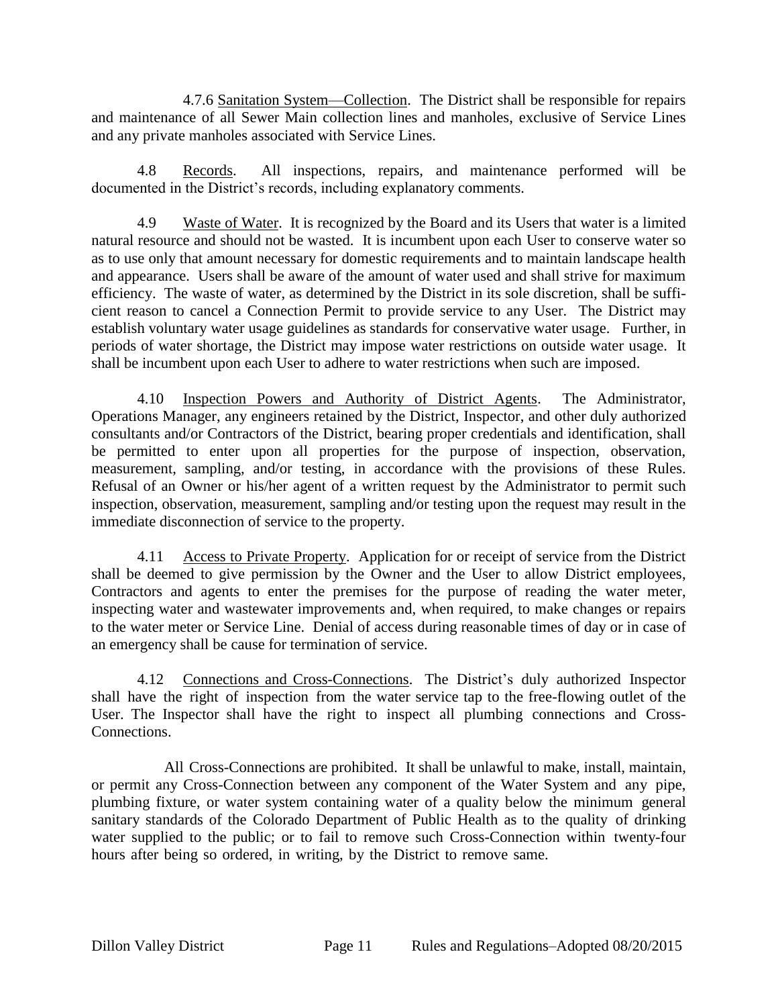4.7.6 Sanitation System—Collection. The District shall be responsible for repairs and maintenance of all Sewer Main collection lines and manholes, exclusive of Service Lines and any private manholes associated with Service Lines.

4.8 Records. All inspections, repairs, and maintenance performed will be documented in the District's records, including explanatory comments.

4.9 Waste of Water. It is recognized by the Board and its Users that water is a limited natural resource and should not be wasted. It is incumbent upon each User to conserve water so as to use only that amount necessary for domestic requirements and to maintain landscape health and appearance. Users shall be aware of the amount of water used and shall strive for maximum efficiency. The waste of water, as determined by the District in its sole discretion, shall be sufficient reason to cancel a Connection Permit to provide service to any User. The District may establish voluntary water usage guidelines as standards for conservative water usage. Further, in periods of water shortage, the District may impose water restrictions on outside water usage. It shall be incumbent upon each User to adhere to water restrictions when such are imposed.

4.10 Inspection Powers and Authority of District Agents. The Administrator, Operations Manager, any engineers retained by the District, Inspector, and other duly authorized consultants and/or Contractors of the District, bearing proper credentials and identification, shall be permitted to enter upon all properties for the purpose of inspection, observation, measurement, sampling, and/or testing, in accordance with the provisions of these Rules. Refusal of an Owner or his/her agent of a written request by the Administrator to permit such inspection, observation, measurement, sampling and/or testing upon the request may result in the immediate disconnection of service to the property.

4.11 Access to Private Property. Application for or receipt of service from the District shall be deemed to give permission by the Owner and the User to allow District employees, Contractors and agents to enter the premises for the purpose of reading the water meter, inspecting water and wastewater improvements and, when required, to make changes or repairs to the water meter or Service Line. Denial of access during reasonable times of day or in case of an emergency shall be cause for termination of service.

4.12 Connections and Cross-Connections. The District's duly authorized Inspector shall have the right of inspection from the water service tap to the free-flowing outlet of the User. The Inspector shall have the right to inspect all plumbing connections and Cross-Connections.

All Cross-Connections are prohibited. It shall be unlawful to make, install, maintain, or permit any Cross-Connection between any component of the Water System and any pipe, plumbing fixture, or water system containing water of a quality below the minimum general sanitary standards of the Colorado Department of Public Health as to the quality of drinking water supplied to the public; or to fail to remove such Cross-Connection within twenty-four hours after being so ordered, in writing, by the District to remove same.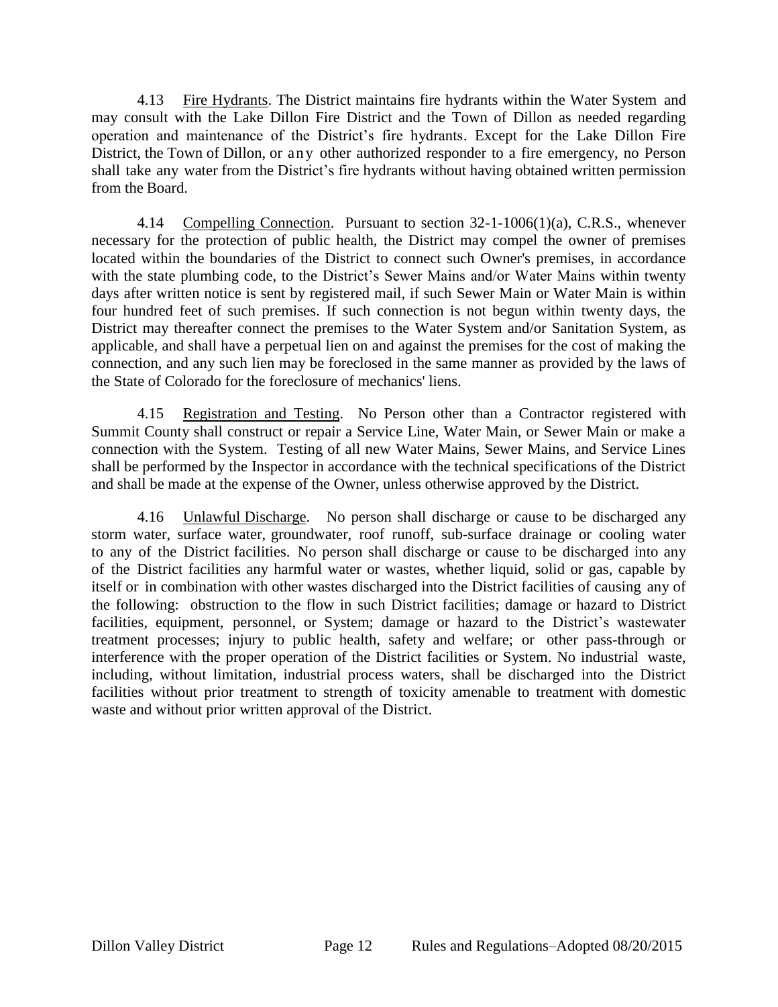4.13 Fire Hydrants. The District maintains fire hydrants within the Water System and may consult with the Lake Dillon Fire District and the Town of Dillon as needed regarding operation and maintenance of the District's fire hydrants. Except for the Lake Dillon Fire District, the Town of Dillon, or any other authorized responder to a fire emergency, no Person shall take any water from the District's fire hydrants without having obtained written permission from the Board.

4.14 Compelling Connection. Pursuant to section 32-1-1006(1)(a), C.R.S., whenever necessary for the protection of public health, the District may compel the owner of premises located within the boundaries of the District to connect such Owner's premises, in accordance with the state plumbing code, to the District's Sewer Mains and/or Water Mains within twenty days after written notice is sent by registered mail, if such Sewer Main or Water Main is within four hundred feet of such premises. If such connection is not begun within twenty days, the District may thereafter connect the premises to the Water System and/or Sanitation System, as applicable, and shall have a perpetual lien on and against the premises for the cost of making the connection, and any such lien may be foreclosed in the same manner as provided by the laws of the State of Colorado for the foreclosure of mechanics' liens.

4.15 Registration and Testing. No Person other than a Contractor registered with Summit County shall construct or repair a Service Line, Water Main, or Sewer Main or make a connection with the System. Testing of all new Water Mains, Sewer Mains, and Service Lines shall be performed by the Inspector in accordance with the technical specifications of the District and shall be made at the expense of the Owner, unless otherwise approved by the District.

4.16 Unlawful Discharge. No person shall discharge or cause to be discharged any storm water, surface water, groundwater, roof runoff, sub-surface drainage or cooling water to any of the District facilities. No person shall discharge or cause to be discharged into any of the District facilities any harmful water or wastes, whether liquid, solid or gas, capable by itself or in combination with other wastes discharged into the District facilities of causing any of the following: obstruction to the flow in such District facilities; damage or hazard to District facilities, equipment, personnel, or System; damage or hazard to the District's wastewater treatment processes; injury to public health, safety and welfare; or other pass-through or interference with the proper operation of the District facilities or System. No industrial waste, including, without limitation, industrial process waters, shall be discharged into the District facilities without prior treatment to strength of toxicity amenable to treatment with domestic waste and without prior written approval of the District.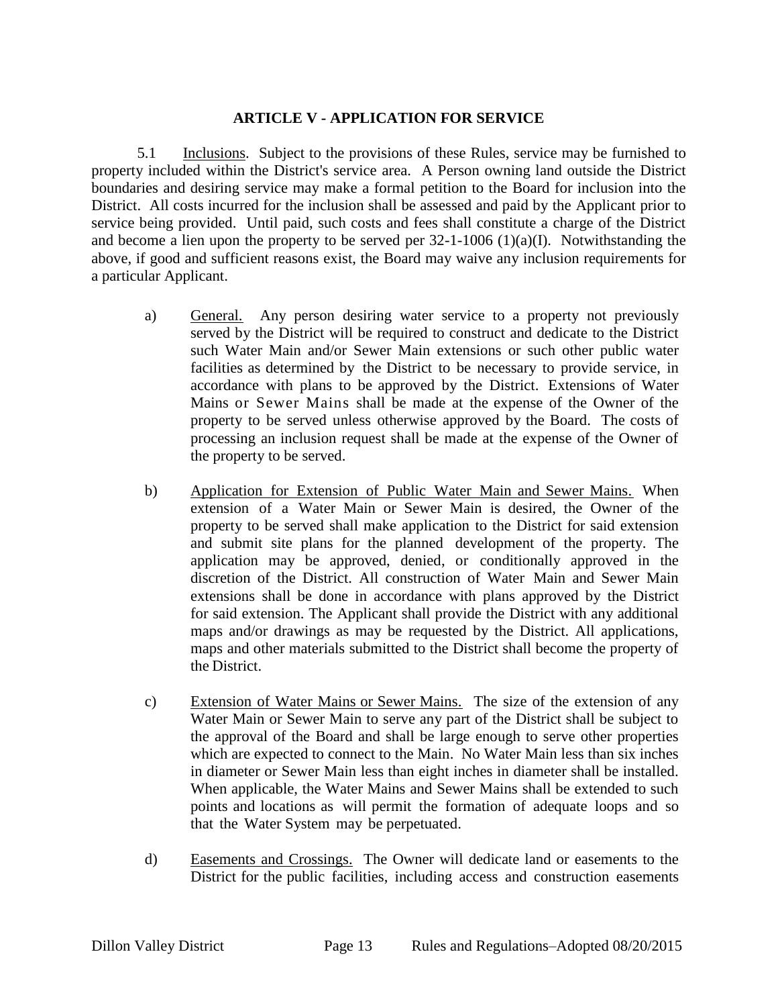#### <span id="page-13-0"></span>**ARTICLE V - APPLICATION FOR SERVICE**

5.1 Inclusions. Subject to the provisions of these Rules, service may be furnished to property included within the District's service area. A Person owning land outside the District boundaries and desiring service may make a formal petition to the Board for inclusion into the District. All costs incurred for the inclusion shall be assessed and paid by the Applicant prior to service being provided. Until paid, such costs and fees shall constitute a charge of the District and become a lien upon the property to be served per  $32$ -1-1006 (1)(a)(I). Notwithstanding the above, if good and sufficient reasons exist, the Board may waive any inclusion requirements for a particular Applicant.

- a) General. Any person desiring water service to a property not previously served by the District will be required to construct and dedicate to the District such Water Main and/or Sewer Main extensions or such other public water facilities as determined by the District to be necessary to provide service, in accordance with plans to be approved by the District. Extensions of Water Mains or Sewer Mains shall be made at the expense of the Owner of the property to be served unless otherwise approved by the Board. The costs of processing an inclusion request shall be made at the expense of the Owner of the property to be served.
- b) Application for Extension of Public Water Main and Sewer Mains. When extension of a Water Main or Sewer Main is desired, the Owner of the property to be served shall make application to the District for said extension and submit site plans for the planned development of the property. The application may be approved, denied, or conditionally approved in the discretion of the District. All construction of Water Main and Sewer Main extensions shall be done in accordance with plans approved by the District for said extension. The Applicant shall provide the District with any additional maps and/or drawings as may be requested by the District. All applications, maps and other materials submitted to the District shall become the property of the District.
- c) Extension of Water Mains or Sewer Mains. The size of the extension of any Water Main or Sewer Main to serve any part of the District shall be subject to the approval of the Board and shall be large enough to serve other properties which are expected to connect to the Main. No Water Main less than six inches in diameter or Sewer Main less than eight inches in diameter shall be installed. When applicable, the Water Mains and Sewer Mains shall be extended to such points and locations as will permit the formation of adequate loops and so that the Water System may be perpetuated.
- d) Easements and Crossings. The Owner will dedicate land or easements to the District for the public facilities, including access and construction easements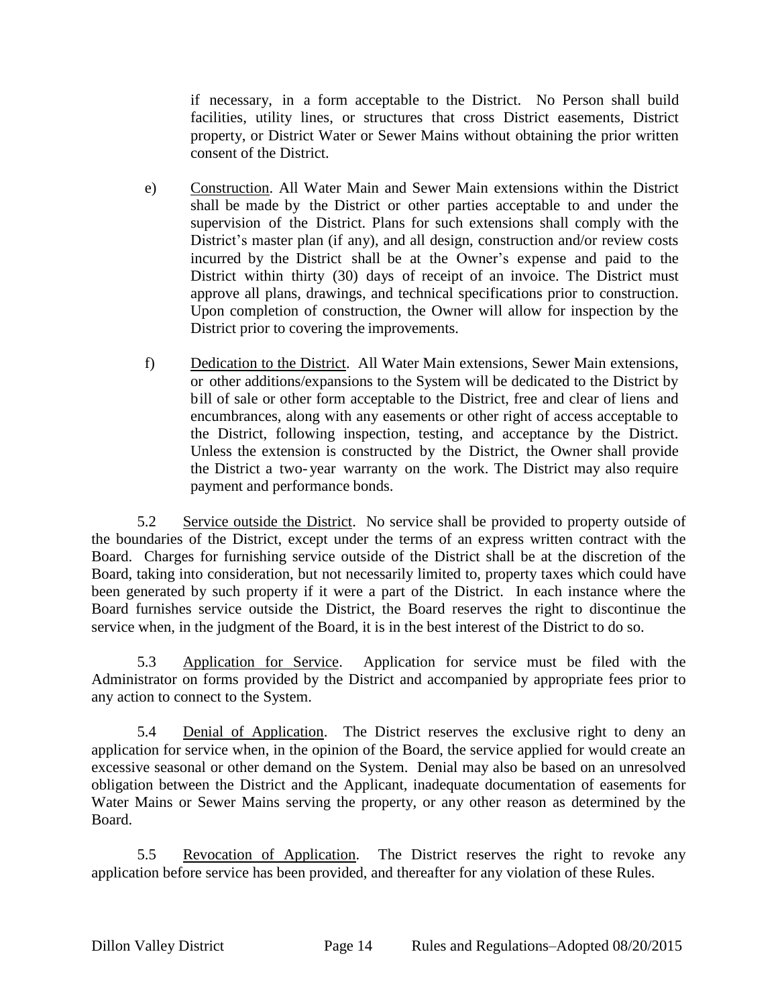if necessary, in a form acceptable to the District. No Person shall build facilities, utility lines, or structures that cross District easements, District property, or District Water or Sewer Mains without obtaining the prior written consent of the District.

- e) Construction. All Water Main and Sewer Main extensions within the District shall be made by the District or other parties acceptable to and under the supervision of the District. Plans for such extensions shall comply with the District's master plan (if any), and all design, construction and/or review costs incurred by the District shall be at the Owner's expense and paid to the District within thirty (30) days of receipt of an invoice. The District must approve all plans, drawings, and technical specifications prior to construction. Upon completion of construction, the Owner will allow for inspection by the District prior to covering the improvements.
- f) Dedication to the District. All Water Main extensions, Sewer Main extensions, or other additions/expansions to the System will be dedicated to the District by bill of sale or other form acceptable to the District, free and clear of liens and encumbrances, along with any easements or other right of access acceptable to the District, following inspection, testing, and acceptance by the District. Unless the extension is constructed by the District, the Owner shall provide the District a two- year warranty on the work. The District may also require payment and performance bonds.

5.2 Service outside the District. No service shall be provided to property outside of the boundaries of the District, except under the terms of an express written contract with the Board. Charges for furnishing service outside of the District shall be at the discretion of the Board, taking into consideration, but not necessarily limited to, property taxes which could have been generated by such property if it were a part of the District. In each instance where the Board furnishes service outside the District, the Board reserves the right to discontinue the service when, in the judgment of the Board, it is in the best interest of the District to do so.

5.3 Application for Service. Application for service must be filed with the Administrator on forms provided by the District and accompanied by appropriate fees prior to any action to connect to the System.

5.4 Denial of Application. The District reserves the exclusive right to deny an application for service when, in the opinion of the Board, the service applied for would create an excessive seasonal or other demand on the System. Denial may also be based on an unresolved obligation between the District and the Applicant, inadequate documentation of easements for Water Mains or Sewer Mains serving the property, or any other reason as determined by the Board.

5.5 Revocation of Application. The District reserves the right to revoke any application before service has been provided, and thereafter for any violation of these Rules.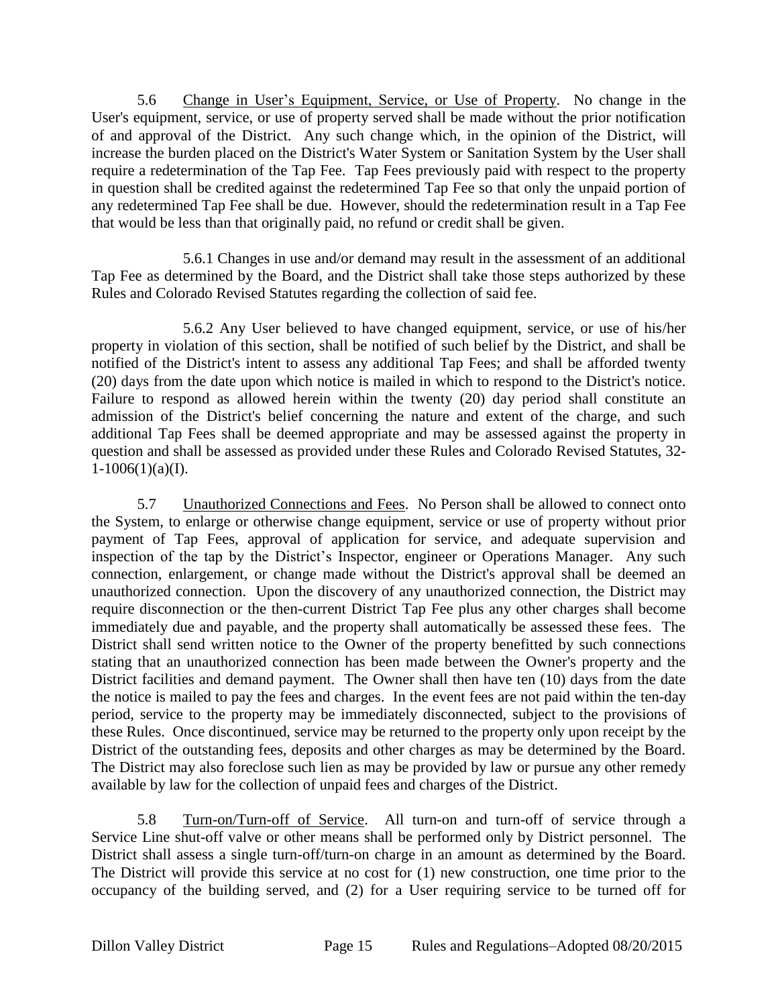5.6 Change in User's Equipment, Service, or Use of Property. No change in the User's equipment, service, or use of property served shall be made without the prior notification of and approval of the District. Any such change which, in the opinion of the District, will increase the burden placed on the District's Water System or Sanitation System by the User shall require a redetermination of the Tap Fee. Tap Fees previously paid with respect to the property in question shall be credited against the redetermined Tap Fee so that only the unpaid portion of any redetermined Tap Fee shall be due. However, should the redetermination result in a Tap Fee that would be less than that originally paid, no refund or credit shall be given.

5.6.1 Changes in use and/or demand may result in the assessment of an additional Tap Fee as determined by the Board, and the District shall take those steps authorized by these Rules and Colorado Revised Statutes regarding the collection of said fee.

5.6.2 Any User believed to have changed equipment, service, or use of his/her property in violation of this section, shall be notified of such belief by the District, and shall be notified of the District's intent to assess any additional Tap Fees; and shall be afforded twenty (20) days from the date upon which notice is mailed in which to respond to the District's notice. Failure to respond as allowed herein within the twenty (20) day period shall constitute an admission of the District's belief concerning the nature and extent of the charge, and such additional Tap Fees shall be deemed appropriate and may be assessed against the property in question and shall be assessed as provided under these Rules and Colorado Revised Statutes, 32-  $1-1006(1)(a)(I)$ .

5.7 Unauthorized Connections and Fees. No Person shall be allowed to connect onto the System, to enlarge or otherwise change equipment, service or use of property without prior payment of Tap Fees, approval of application for service, and adequate supervision and inspection of the tap by the District's Inspector, engineer or Operations Manager. Any such connection, enlargement, or change made without the District's approval shall be deemed an unauthorized connection. Upon the discovery of any unauthorized connection, the District may require disconnection or the then-current District Tap Fee plus any other charges shall become immediately due and payable, and the property shall automatically be assessed these fees. The District shall send written notice to the Owner of the property benefitted by such connections stating that an unauthorized connection has been made between the Owner's property and the District facilities and demand payment. The Owner shall then have ten (10) days from the date the notice is mailed to pay the fees and charges. In the event fees are not paid within the ten-day period, service to the property may be immediately disconnected, subject to the provisions of these Rules. Once discontinued, service may be returned to the property only upon receipt by the District of the outstanding fees, deposits and other charges as may be determined by the Board. The District may also foreclose such lien as may be provided by law or pursue any other remedy available by law for the collection of unpaid fees and charges of the District.

5.8 Turn-on/Turn-off of Service. All turn-on and turn-off of service through a Service Line shut-off valve or other means shall be performed only by District personnel. The District shall assess a single turn-off/turn-on charge in an amount as determined by the Board. The District will provide this service at no cost for (1) new construction, one time prior to the occupancy of the building served, and (2) for a User requiring service to be turned off for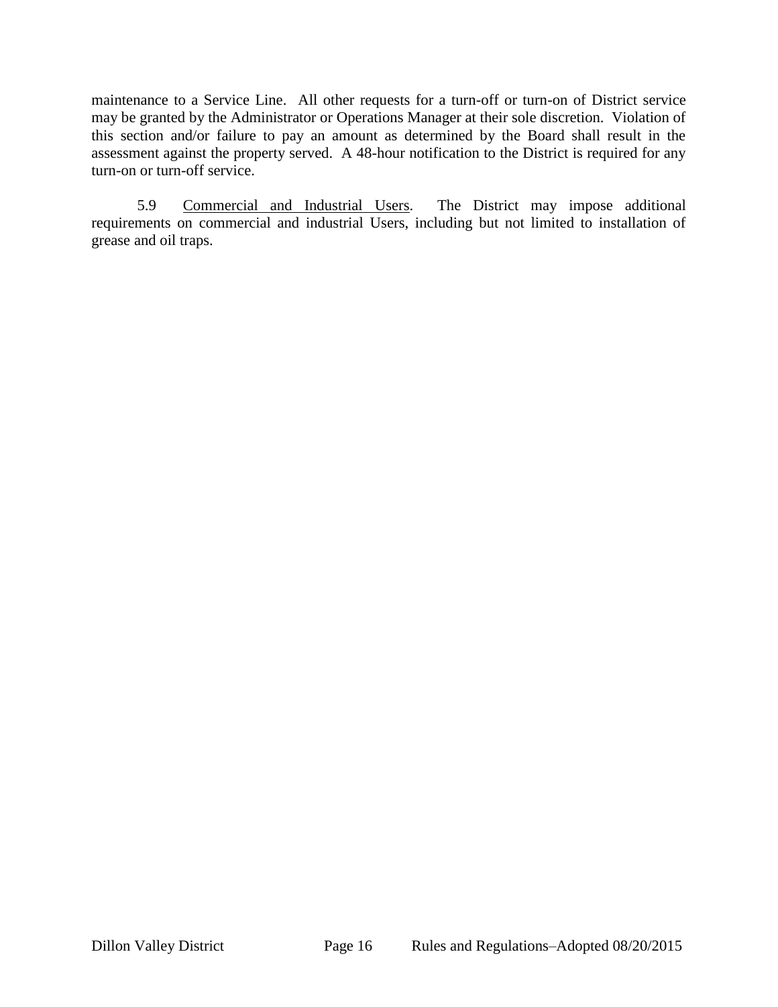maintenance to a Service Line. All other requests for a turn-off or turn-on of District service may be granted by the Administrator or Operations Manager at their sole discretion. Violation of this section and/or failure to pay an amount as determined by the Board shall result in the assessment against the property served. A 48-hour notification to the District is required for any turn-on or turn-off service.

5.9 Commercial and Industrial Users. The District may impose additional requirements on commercial and industrial Users, including but not limited to installation of grease and oil traps.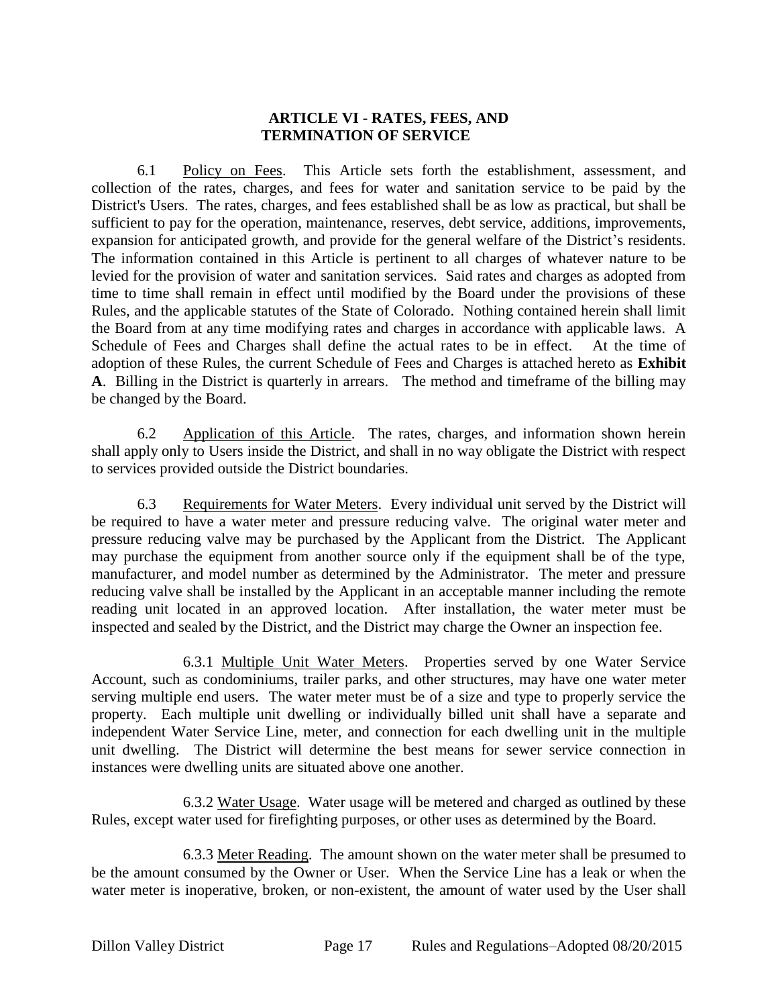#### <span id="page-17-0"></span>**ARTICLE VI - RATES, FEES, AND TERMINATION OF SERVICE**

6.1 Policy on Fees. This Article sets forth the establishment, assessment, and collection of the rates, charges, and fees for water and sanitation service to be paid by the District's Users. The rates, charges, and fees established shall be as low as practical, but shall be sufficient to pay for the operation, maintenance, reserves, debt service, additions, improvements, expansion for anticipated growth, and provide for the general welfare of the District's residents. The information contained in this Article is pertinent to all charges of whatever nature to be levied for the provision of water and sanitation services. Said rates and charges as adopted from time to time shall remain in effect until modified by the Board under the provisions of these Rules, and the applicable statutes of the State of Colorado. Nothing contained herein shall limit the Board from at any time modifying rates and charges in accordance with applicable laws. A Schedule of Fees and Charges shall define the actual rates to be in effect. At the time of adoption of these Rules, the current Schedule of Fees and Charges is attached hereto as **Exhibit A**. Billing in the District is quarterly in arrears. The method and timeframe of the billing may be changed by the Board.

6.2 Application of this Article. The rates, charges, and information shown herein shall apply only to Users inside the District, and shall in no way obligate the District with respect to services provided outside the District boundaries.

6.3 Requirements for Water Meters. Every individual unit served by the District will be required to have a water meter and pressure reducing valve. The original water meter and pressure reducing valve may be purchased by the Applicant from the District. The Applicant may purchase the equipment from another source only if the equipment shall be of the type, manufacturer, and model number as determined by the Administrator. The meter and pressure reducing valve shall be installed by the Applicant in an acceptable manner including the remote reading unit located in an approved location. After installation, the water meter must be inspected and sealed by the District, and the District may charge the Owner an inspection fee.

6.3.1 Multiple Unit Water Meters. Properties served by one Water Service Account, such as condominiums, trailer parks, and other structures, may have one water meter serving multiple end users. The water meter must be of a size and type to properly service the property. Each multiple unit dwelling or individually billed unit shall have a separate and independent Water Service Line, meter, and connection for each dwelling unit in the multiple unit dwelling. The District will determine the best means for sewer service connection in instances were dwelling units are situated above one another.

6.3.2 Water Usage. Water usage will be metered and charged as outlined by these Rules, except water used for firefighting purposes, or other uses as determined by the Board.

6.3.3 Meter Reading. The amount shown on the water meter shall be presumed to be the amount consumed by the Owner or User. When the Service Line has a leak or when the water meter is inoperative, broken, or non-existent, the amount of water used by the User shall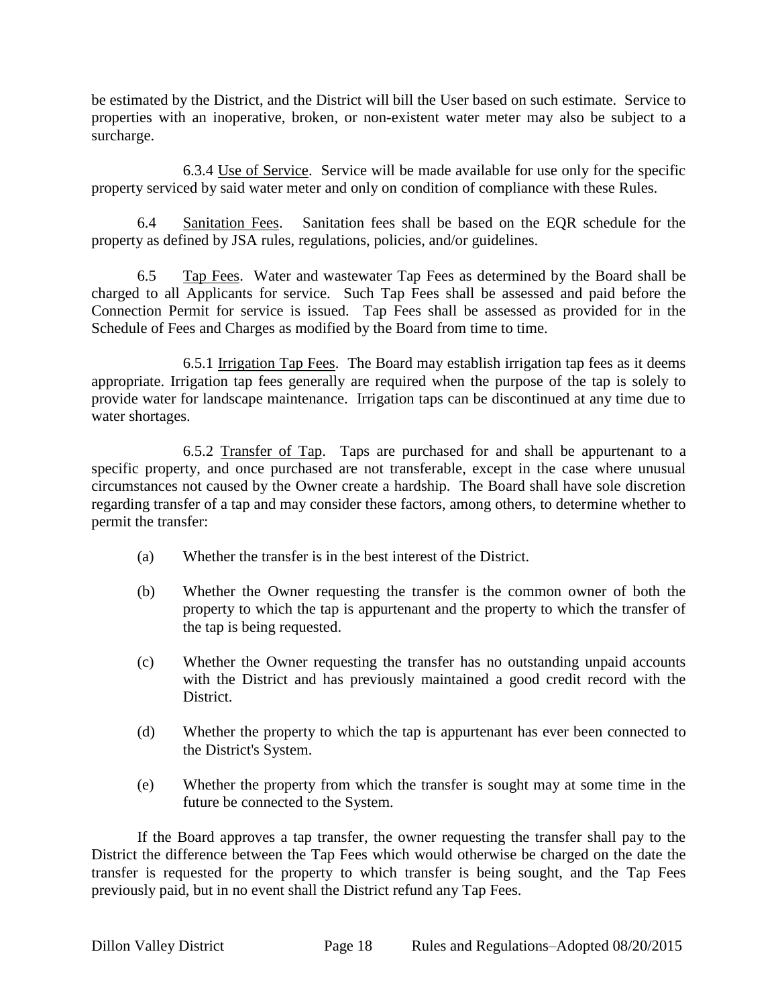be estimated by the District, and the District will bill the User based on such estimate. Service to properties with an inoperative, broken, or non-existent water meter may also be subject to a surcharge.

6.3.4 Use of Service. Service will be made available for use only for the specific property serviced by said water meter and only on condition of compliance with these Rules.

6.4 Sanitation Fees. Sanitation fees shall be based on the EQR schedule for the property as defined by JSA rules, regulations, policies, and/or guidelines.

6.5 Tap Fees. Water and wastewater Tap Fees as determined by the Board shall be charged to all Applicants for service. Such Tap Fees shall be assessed and paid before the Connection Permit for service is issued. Tap Fees shall be assessed as provided for in the Schedule of Fees and Charges as modified by the Board from time to time.

6.5.1 Irrigation Tap Fees. The Board may establish irrigation tap fees as it deems appropriate. Irrigation tap fees generally are required when the purpose of the tap is solely to provide water for landscape maintenance. Irrigation taps can be discontinued at any time due to water shortages.

6.5.2 Transfer of Tap. Taps are purchased for and shall be appurtenant to a specific property, and once purchased are not transferable, except in the case where unusual circumstances not caused by the Owner create a hardship. The Board shall have sole discretion regarding transfer of a tap and may consider these factors, among others, to determine whether to permit the transfer:

- (a) Whether the transfer is in the best interest of the District.
- (b) Whether the Owner requesting the transfer is the common owner of both the property to which the tap is appurtenant and the property to which the transfer of the tap is being requested.
- (c) Whether the Owner requesting the transfer has no outstanding unpaid accounts with the District and has previously maintained a good credit record with the District.
- (d) Whether the property to which the tap is appurtenant has ever been connected to the District's System.
- (e) Whether the property from which the transfer is sought may at some time in the future be connected to the System.

If the Board approves a tap transfer, the owner requesting the transfer shall pay to the District the difference between the Tap Fees which would otherwise be charged on the date the transfer is requested for the property to which transfer is being sought, and the Tap Fees previously paid, but in no event shall the District refund any Tap Fees.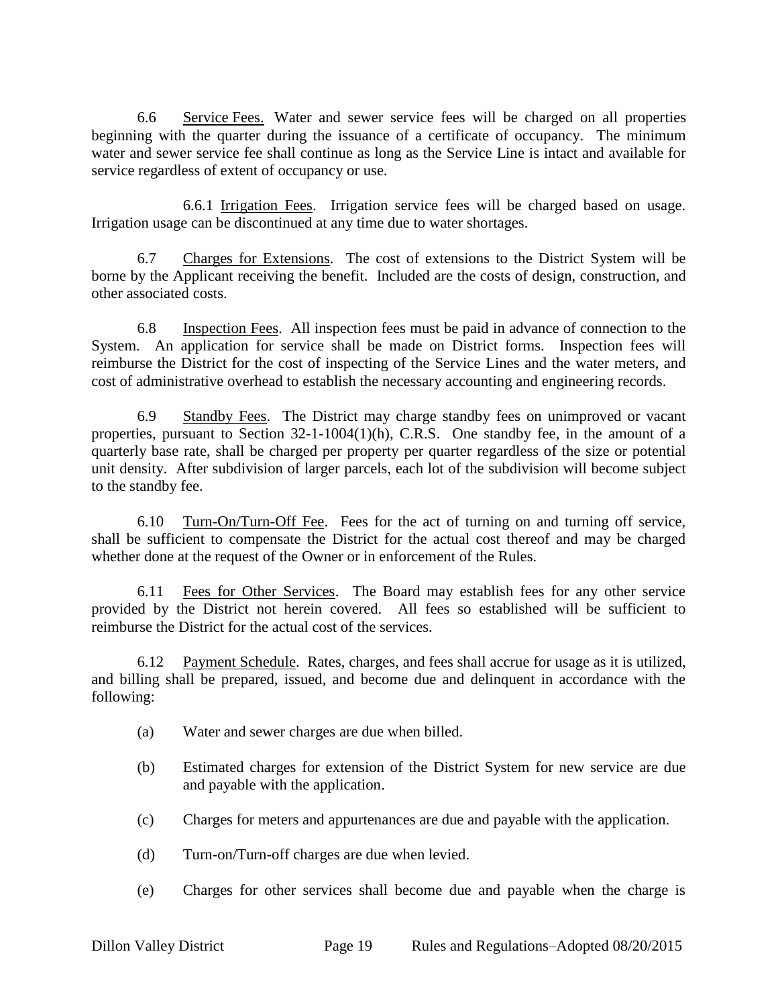6.6 Service Fees. Water and sewer service fees will be charged on all properties beginning with the quarter during the issuance of a certificate of occupancy. The minimum water and sewer service fee shall continue as long as the Service Line is intact and available for service regardless of extent of occupancy or use.

6.6.1 Irrigation Fees. Irrigation service fees will be charged based on usage. Irrigation usage can be discontinued at any time due to water shortages.

6.7 Charges for Extensions. The cost of extensions to the District System will be borne by the Applicant receiving the benefit. Included are the costs of design, construction, and other associated costs.

6.8 Inspection Fees. All inspection fees must be paid in advance of connection to the System. An application for service shall be made on District forms. Inspection fees will reimburse the District for the cost of inspecting of the Service Lines and the water meters, and cost of administrative overhead to establish the necessary accounting and engineering records.

6.9 Standby Fees. The District may charge standby fees on unimproved or vacant properties, pursuant to Section 32-1-1004(1)(h), C.R.S. One standby fee, in the amount of a quarterly base rate, shall be charged per property per quarter regardless of the size or potential unit density. After subdivision of larger parcels, each lot of the subdivision will become subject to the standby fee.

6.10 Turn-On/Turn-Off Fee. Fees for the act of turning on and turning off service, shall be sufficient to compensate the District for the actual cost thereof and may be charged whether done at the request of the Owner or in enforcement of the Rules.

6.11 Fees for Other Services. The Board may establish fees for any other service provided by the District not herein covered. All fees so established will be sufficient to reimburse the District for the actual cost of the services.

6.12 Payment Schedule. Rates, charges, and fees shall accrue for usage as it is utilized, and billing shall be prepared, issued, and become due and delinquent in accordance with the following:

- (a) Water and sewer charges are due when billed.
- (b) Estimated charges for extension of the District System for new service are due and payable with the application.
- (c) Charges for meters and appurtenances are due and payable with the application.
- (d) Turn-on/Turn-off charges are due when levied.
- (e) Charges for other services shall become due and payable when the charge is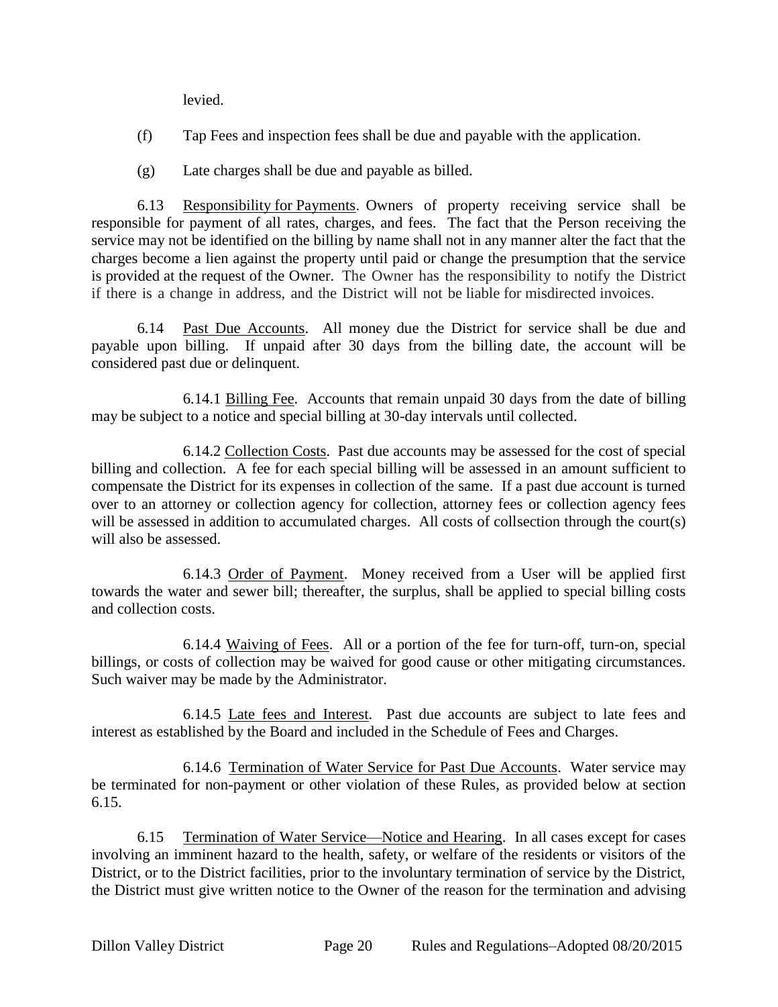levied.

- (f) Tap Fees and inspection fees shall be due and payable with the application.
- (g) Late charges shall be due and payable as billed.

6.13 Responsibility for Payments. Owners of property receiving service shall be responsible for payment of all rates, charges, and fees. The fact that the Person receiving the service may not be identified on the billing by name shall not in any manner alter the fact that the charges become a lien against the property until paid or change the presumption that the service is provided at the request of the Owner. The Owner has the responsibility to notify the District if there is a change in address, and the District will not be liable for misdirected invoices.

6.14 Past Due Accounts. All money due the District for service shall be due and payable upon billing. If unpaid after 30 days from the billing date, the account will be considered past due or delinquent.

6.14.1 Billing Fee. Accounts that remain unpaid 30 days from the date of billing may be subject to a notice and special billing at 30-day intervals until collected.

6.14.2 Collection Costs. Past due accounts may be assessed for the cost of special billing and collection. A fee for each special billing will be assessed in an amount sufficient to compensate the District for its expenses in collection of the same. If a past due account is turned over to an attorney or collection agency for collection, attorney fees or collection agency fees will be assessed in addition to accumulated charges. All costs of collsection through the court(s) will also be assessed.

6.14.3 Order of Payment. Money received from a User will be applied first towards the water and sewer bill; thereafter, the surplus, shall be applied to special billing costs and collection costs.

6.14.4 Waiving of Fees. All or a portion of the fee for turn-off, turn-on, special billings, or costs of collection may be waived for good cause or other mitigating circumstances. Such waiver may be made by the Administrator.

6.14.5 Late fees and Interest. Past due accounts are subject to late fees and interest as established by the Board and included in the Schedule of Fees and Charges.

6.14.6 Termination of Water Service for Past Due Accounts. Water service may be terminated for non-payment or other violation of these Rules, as provided below at section 6.15.

6.15 Termination of Water Service—Notice and Hearing. In all cases except for cases involving an imminent hazard to the health, safety, or welfare of the residents or visitors of the District, or to the District facilities, prior to the involuntary termination of service by the District, the District must give written notice to the Owner of the reason for the termination and advising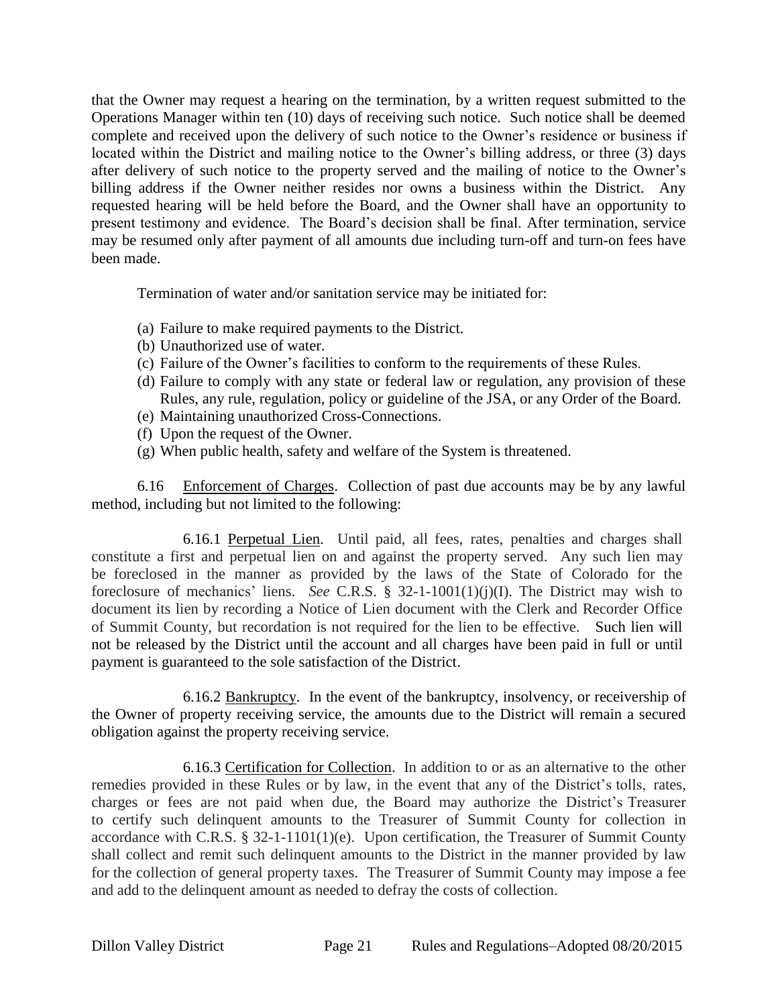that the Owner may request a hearing on the termination, by a written request submitted to the Operations Manager within ten (10) days of receiving such notice. Such notice shall be deemed complete and received upon the delivery of such notice to the Owner's residence or business if located within the District and mailing notice to the Owner's billing address, or three (3) days after delivery of such notice to the property served and the mailing of notice to the Owner's billing address if the Owner neither resides nor owns a business within the District. Any requested hearing will be held before the Board, and the Owner shall have an opportunity to present testimony and evidence. The Board's decision shall be final. After termination, service may be resumed only after payment of all amounts due including turn-off and turn-on fees have been made.

Termination of water and/or sanitation service may be initiated for:

- (a) Failure to make required payments to the District.
- (b) Unauthorized use of water.
- (c) Failure of the Owner's facilities to conform to the requirements of these Rules.
- (d) Failure to comply with any state or federal law or regulation, any provision of these Rules, any rule, regulation, policy or guideline of the JSA, or any Order of the Board.
- (e) Maintaining unauthorized Cross-Connections.
- (f) Upon the request of the Owner.
- (g) When public health, safety and welfare of the System is threatened.

6.16 Enforcement of Charges. Collection of past due accounts may be by any lawful method, including but not limited to the following:

6.16.1 Perpetual Lien. Until paid, all fees, rates, penalties and charges shall constitute a first and perpetual lien on and against the property served. Any such lien may be foreclosed in the manner as provided by the laws of the State of Colorado for the foreclosure of mechanics' liens. *See* C.R.S. § 32-1-1001(1)(j)(I). The District may wish to document its lien by recording a Notice of Lien document with the Clerk and Recorder Office of Summit County, but recordation is not required for the lien to be effective. Such lien will not be released by the District until the account and all charges have been paid in full or until payment is guaranteed to the sole satisfaction of the District.

6.16.2 Bankruptcy. In the event of the bankruptcy, insolvency, or receivership of the Owner of property receiving service, the amounts due to the District will remain a secured obligation against the property receiving service.

6.16.3 Certification for Collection. In addition to or as an alternative to the other remedies provided in these Rules or by law, in the event that any of the District's tolls, rates, charges or fees are not paid when due, the Board may authorize the District's Treasurer to certify such delinquent amounts to the Treasurer of Summit County for collection in accordance with C.R.S. § 32-1-1101(1)(e). Upon certification, the Treasurer of Summit County shall collect and remit such delinquent amounts to the District in the manner provided by law for the collection of general property taxes. The Treasurer of Summit County may impose a fee and add to the delinquent amount as needed to defray the costs of collection.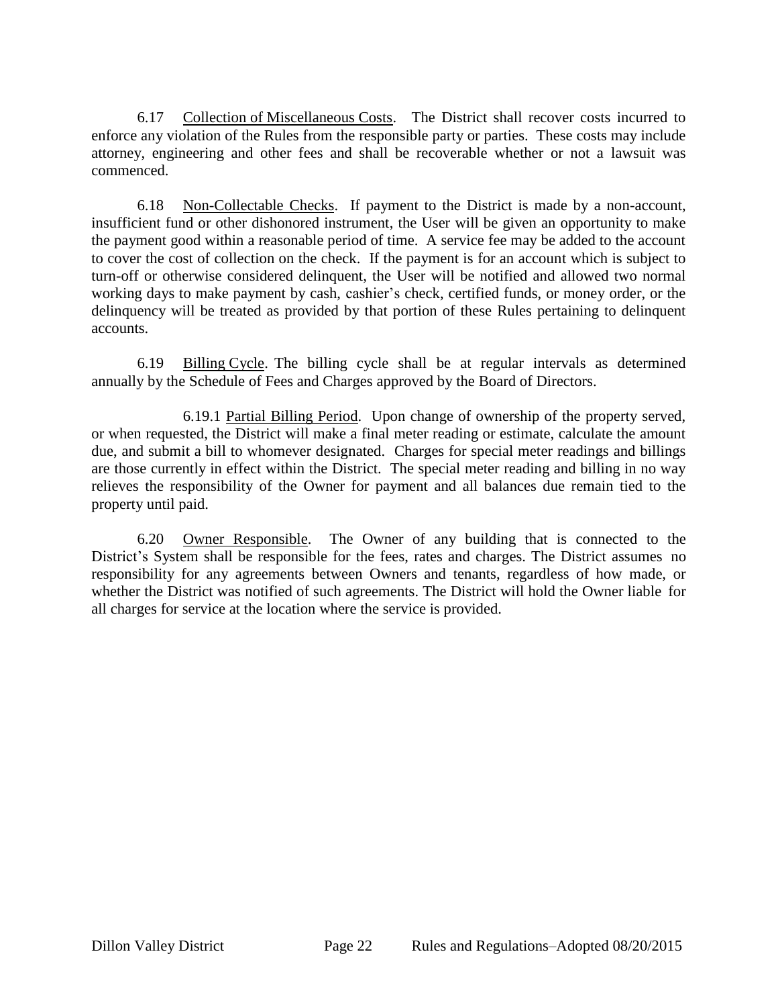6.17 Collection of Miscellaneous Costs. The District shall recover costs incurred to enforce any violation of the Rules from the responsible party or parties. These costs may include attorney, engineering and other fees and shall be recoverable whether or not a lawsuit was commenced.

6.18 Non-Collectable Checks. If payment to the District is made by a non-account, insufficient fund or other dishonored instrument, the User will be given an opportunity to make the payment good within a reasonable period of time. A service fee may be added to the account to cover the cost of collection on the check. If the payment is for an account which is subject to turn-off or otherwise considered delinquent, the User will be notified and allowed two normal working days to make payment by cash, cashier's check, certified funds, or money order, or the delinquency will be treated as provided by that portion of these Rules pertaining to delinquent accounts.

6.19 Billing Cycle. The billing cycle shall be at regular intervals as determined annually by the Schedule of Fees and Charges approved by the Board of Directors.

6.19.1 Partial Billing Period. Upon change of ownership of the property served, or when requested, the District will make a final meter reading or estimate, calculate the amount due, and submit a bill to whomever designated. Charges for special meter readings and billings are those currently in effect within the District. The special meter reading and billing in no way relieves the responsibility of the Owner for payment and all balances due remain tied to the property until paid.

6.20 Owner Responsible. The Owner of any building that is connected to the District's System shall be responsible for the fees, rates and charges. The District assumes no responsibility for any agreements between Owners and tenants, regardless of how made, or whether the District was notified of such agreements. The District will hold the Owner liable for all charges for service at the location where the service is provided.